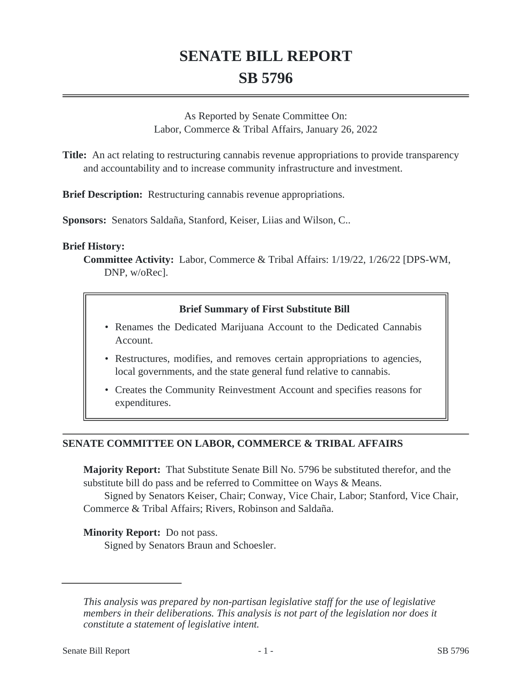# **SENATE BILL REPORT SB 5796**

As Reported by Senate Committee On: Labor, Commerce & Tribal Affairs, January 26, 2022

**Title:** An act relating to restructuring cannabis revenue appropriations to provide transparency and accountability and to increase community infrastructure and investment.

**Brief Description:** Restructuring cannabis revenue appropriations.

**Sponsors:** Senators Saldaña, Stanford, Keiser, Liias and Wilson, C..

### **Brief History:**

**Committee Activity:** Labor, Commerce & Tribal Affairs: 1/19/22, 1/26/22 [DPS-WM, DNP, w/oRec].

### **Brief Summary of First Substitute Bill**

- Renames the Dedicated Marijuana Account to the Dedicated Cannabis Account.
- Restructures, modifies, and removes certain appropriations to agencies, local governments, and the state general fund relative to cannabis.
- Creates the Community Reinvestment Account and specifies reasons for expenditures.

# **SENATE COMMITTEE ON LABOR, COMMERCE & TRIBAL AFFAIRS**

**Majority Report:** That Substitute Senate Bill No. 5796 be substituted therefor, and the substitute bill do pass and be referred to Committee on Ways & Means.

Signed by Senators Keiser, Chair; Conway, Vice Chair, Labor; Stanford, Vice Chair, Commerce & Tribal Affairs; Rivers, Robinson and Saldaña.

### **Minority Report:** Do not pass.

Signed by Senators Braun and Schoesler.

*This analysis was prepared by non-partisan legislative staff for the use of legislative members in their deliberations. This analysis is not part of the legislation nor does it constitute a statement of legislative intent.*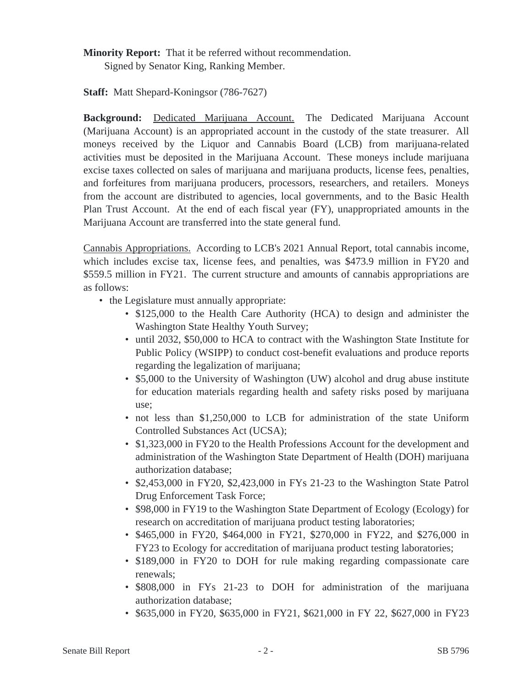**Minority Report:** That it be referred without recommendation.

Signed by Senator King, Ranking Member.

**Staff:** Matt Shepard-Koningsor (786-7627)

**Background:** Dedicated Marijuana Account. The Dedicated Marijuana Account (Marijuana Account) is an appropriated account in the custody of the state treasurer. All moneys received by the Liquor and Cannabis Board (LCB) from marijuana-related activities must be deposited in the Marijuana Account. These moneys include marijuana excise taxes collected on sales of marijuana and marijuana products, license fees, penalties, and forfeitures from marijuana producers, processors, researchers, and retailers. Moneys from the account are distributed to agencies, local governments, and to the Basic Health Plan Trust Account. At the end of each fiscal year (FY), unappropriated amounts in the Marijuana Account are transferred into the state general fund.

Cannabis Appropriations. According to LCB's 2021 Annual Report, total cannabis income, which includes excise tax, license fees, and penalties, was \$473.9 million in FY20 and \$559.5 million in FY21. The current structure and amounts of cannabis appropriations are as follows:

- the Legislature must annually appropriate:
	- \$125,000 to the Health Care Authority (HCA) to design and administer the Washington State Healthy Youth Survey;
	- until 2032, \$50,000 to HCA to contract with the Washington State Institute for Public Policy (WSIPP) to conduct cost-benefit evaluations and produce reports regarding the legalization of marijuana;
	- \$5,000 to the University of Washington (UW) alcohol and drug abuse institute for education materials regarding health and safety risks posed by marijuana use;
	- not less than \$1,250,000 to LCB for administration of the state Uniform Controlled Substances Act (UCSA);
	- \$1,323,000 in FY20 to the Health Professions Account for the development and administration of the Washington State Department of Health (DOH) marijuana authorization database;
	- \$2,453,000 in FY20, \$2,423,000 in FYs 21-23 to the Washington State Patrol Drug Enforcement Task Force;
	- \$98,000 in FY19 to the Washington State Department of Ecology (Ecology) for research on accreditation of marijuana product testing laboratories;
	- \$465,000 in FY20, \$464,000 in FY21, \$270,000 in FY22, and \$276,000 in FY23 to Ecology for accreditation of marijuana product testing laboratories;
	- \$189,000 in FY20 to DOH for rule making regarding compassionate care renewals;
	- \$808,000 in FYs 21-23 to DOH for administration of the marijuana authorization database;
	- \$635,000 in FY20, \$635,000 in FY21, \$621,000 in FY 22, \$627,000 in FY23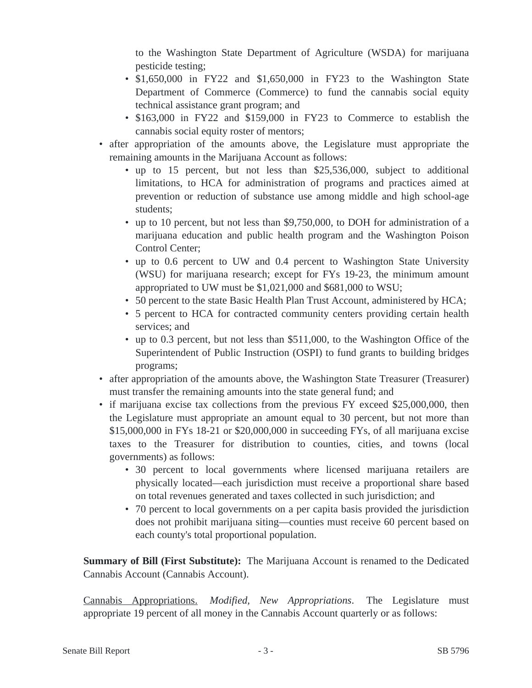to the Washington State Department of Agriculture (WSDA) for marijuana pesticide testing;

- \$1,650,000 in FY22 and \$1,650,000 in FY23 to the Washington State Department of Commerce (Commerce) to fund the cannabis social equity technical assistance grant program; and
- \$163,000 in FY22 and \$159,000 in FY23 to Commerce to establish the cannabis social equity roster of mentors;
- after appropriation of the amounts above, the Legislature must appropriate the remaining amounts in the Marijuana Account as follows:
	- up to 15 percent, but not less than \$25,536,000, subject to additional limitations, to HCA for administration of programs and practices aimed at prevention or reduction of substance use among middle and high school-age students;
	- up to 10 percent, but not less than \$9,750,000, to DOH for administration of a marijuana education and public health program and the Washington Poison Control Center;
	- up to 0.6 percent to UW and 0.4 percent to Washington State University (WSU) for marijuana research; except for FYs 19-23, the minimum amount appropriated to UW must be \$1,021,000 and \$681,000 to WSU;
	- 50 percent to the state Basic Health Plan Trust Account, administered by HCA;
	- 5 percent to HCA for contracted community centers providing certain health services; and
	- up to 0.3 percent, but not less than \$511,000, to the Washington Office of the Superintendent of Public Instruction (OSPI) to fund grants to building bridges programs;
- after appropriation of the amounts above, the Washington State Treasurer (Treasurer) must transfer the remaining amounts into the state general fund; and
- if marijuana excise tax collections from the previous FY exceed \$25,000,000, then the Legislature must appropriate an amount equal to 30 percent, but not more than \$15,000,000 in FYs 18-21 or \$20,000,000 in succeeding FYs, of all marijuana excise taxes to the Treasurer for distribution to counties, cities, and towns (local governments) as follows:
	- 30 percent to local governments where licensed marijuana retailers are physically located—each jurisdiction must receive a proportional share based on total revenues generated and taxes collected in such jurisdiction; and
	- 70 percent to local governments on a per capita basis provided the jurisdiction does not prohibit marijuana siting—counties must receive 60 percent based on each county's total proportional population.

**Summary of Bill (First Substitute):** The Marijuana Account is renamed to the Dedicated Cannabis Account (Cannabis Account).

Cannabis Appropriations. *Modified, New Appropriations*. The Legislature must appropriate 19 percent of all money in the Cannabis Account quarterly or as follows: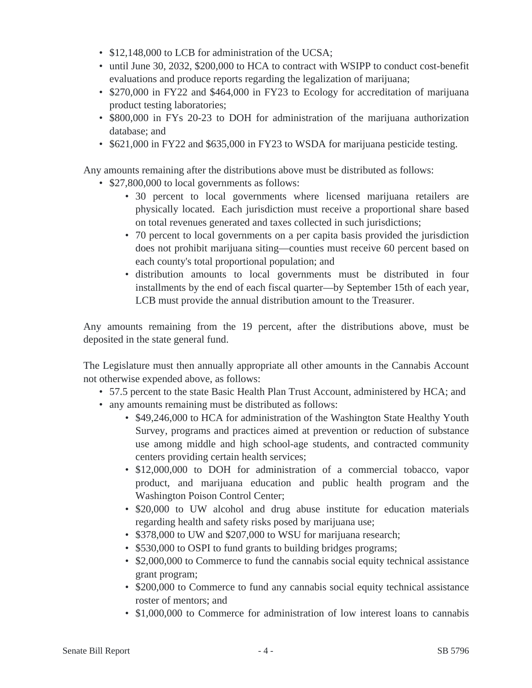- \$12,148,000 to LCB for administration of the UCSA;
- until June 30, 2032, \$200,000 to HCA to contract with WSIPP to conduct cost-benefit evaluations and produce reports regarding the legalization of marijuana;
- \$270,000 in FY22 and \$464,000 in FY23 to Ecology for accreditation of marijuana product testing laboratories;
- \$800,000 in FYs 20-23 to DOH for administration of the marijuana authorization database; and
- \$621,000 in FY22 and \$635,000 in FY23 to WSDA for marijuana pesticide testing.

Any amounts remaining after the distributions above must be distributed as follows:

- \$27,800,000 to local governments as follows:
	- 30 percent to local governments where licensed marijuana retailers are physically located. Each jurisdiction must receive a proportional share based on total revenues generated and taxes collected in such jurisdictions;
	- 70 percent to local governments on a per capita basis provided the jurisdiction does not prohibit marijuana siting—counties must receive 60 percent based on each county's total proportional population; and
	- distribution amounts to local governments must be distributed in four installments by the end of each fiscal quarter—by September 15th of each year, LCB must provide the annual distribution amount to the Treasurer.

Any amounts remaining from the 19 percent, after the distributions above, must be deposited in the state general fund.

The Legislature must then annually appropriate all other amounts in the Cannabis Account not otherwise expended above, as follows:

- 57.5 percent to the state Basic Health Plan Trust Account, administered by HCA; and
- any amounts remaining must be distributed as follows:
	- \$49,246,000 to HCA for administration of the Washington State Healthy Youth Survey, programs and practices aimed at prevention or reduction of substance use among middle and high school-age students, and contracted community centers providing certain health services;
	- \$12,000,000 to DOH for administration of a commercial tobacco, vapor product, and marijuana education and public health program and the Washington Poison Control Center;
	- \$20,000 to UW alcohol and drug abuse institute for education materials regarding health and safety risks posed by marijuana use;
	- \$378,000 to UW and \$207,000 to WSU for marijuana research;
	- \$530,000 to OSPI to fund grants to building bridges programs;
	- \$2,000,000 to Commerce to fund the cannabis social equity technical assistance grant program;
	- \$200,000 to Commerce to fund any cannabis social equity technical assistance roster of mentors; and
	- \$1,000,000 to Commerce for administration of low interest loans to cannabis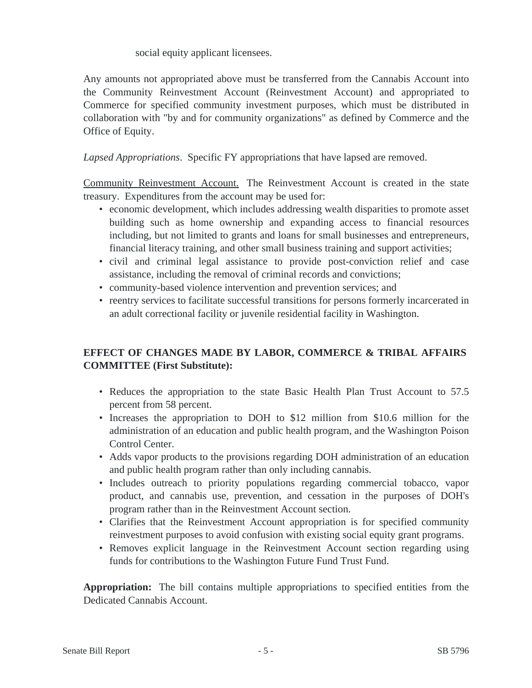social equity applicant licensees.

Any amounts not appropriated above must be transferred from the Cannabis Account into the Community Reinvestment Account (Reinvestment Account) and appropriated to Commerce for specified community investment purposes, which must be distributed in collaboration with "by and for community organizations" as defined by Commerce and the Office of Equity.

*Lapsed Appropriations*. Specific FY appropriations that have lapsed are removed.

Community Reinvestment Account. The Reinvestment Account is created in the state treasury. Expenditures from the account may be used for:

- economic development, which includes addressing wealth disparities to promote asset building such as home ownership and expanding access to financial resources including, but not limited to grants and loans for small businesses and entrepreneurs, financial literacy training, and other small business training and support activities;
- civil and criminal legal assistance to provide post-conviction relief and case assistance, including the removal of criminal records and convictions;
- community-based violence intervention and prevention services; and
- reentry services to facilitate successful transitions for persons formerly incarcerated in an adult correctional facility or juvenile residential facility in Washington.

# **EFFECT OF CHANGES MADE BY LABOR, COMMERCE & TRIBAL AFFAIRS COMMITTEE (First Substitute):**

- Reduces the appropriation to the state Basic Health Plan Trust Account to 57.5 percent from 58 percent.
- Increases the appropriation to DOH to \$12 million from \$10.6 million for the administration of an education and public health program, and the Washington Poison Control Center.
- Adds vapor products to the provisions regarding DOH administration of an education and public health program rather than only including cannabis.
- Includes outreach to priority populations regarding commercial tobacco, vapor product, and cannabis use, prevention, and cessation in the purposes of DOH's program rather than in the Reinvestment Account section.
- Clarifies that the Reinvestment Account appropriation is for specified community reinvestment purposes to avoid confusion with existing social equity grant programs.
- Removes explicit language in the Reinvestment Account section regarding using funds for contributions to the Washington Future Fund Trust Fund.

**Appropriation:** The bill contains multiple appropriations to specified entities from the Dedicated Cannabis Account.